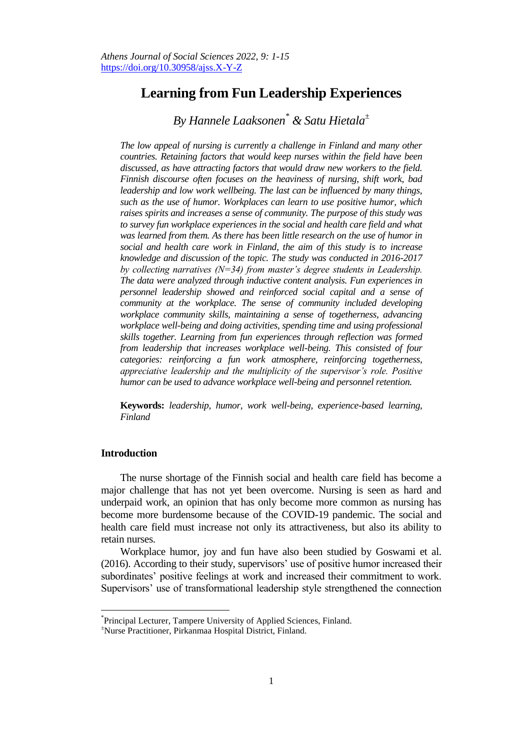# **Learning from Fun Leadership Experiences**

*By Hannele Laaksonen\* & Satu Hietala<sup>±</sup>*

*The low appeal of nursing is currently a challenge in Finland and many other countries. Retaining factors that would keep nurses within the field have been discussed, as have attracting factors that would draw new workers to the field. Finnish discourse often focuses on the heaviness of nursing, shift work, bad leadership and low work wellbeing. The last can be influenced by many things, such as the use of humor. Workplaces can learn to use positive humor, which raises spirits and increases a sense of community. The purpose of this study was to survey fun workplace experiences in the social and health care field and what was learned from them. As there has been little research on the use of humor in social and health care work in Finland, the aim of this study is to increase knowledge and discussion of the topic. The study was conducted in 2016-2017 by collecting narratives (N=34) from master's degree students in Leadership. The data were analyzed through inductive content analysis. Fun experiences in personnel leadership showed and reinforced social capital and a sense of community at the workplace. The sense of community included developing workplace community skills, maintaining a sense of togetherness, advancing workplace well-being and doing activities, spending time and using professional skills together. Learning from fun experiences through reflection was formed from leadership that increases workplace well-being. This consisted of four categories: reinforcing a fun work atmosphere, reinforcing togetherness, appreciative leadership and the multiplicity of the supervisor's role. Positive humor can be used to advance workplace well-being and personnel retention.* 

**Keywords:** *leadership, humor, work well-being, experience-based learning, Finland*

# **Introduction**

l

The nurse shortage of the Finnish social and health care field has become a major challenge that has not yet been overcome. Nursing is seen as hard and underpaid work, an opinion that has only become more common as nursing has become more burdensome because of the COVID-19 pandemic. The social and health care field must increase not only its attractiveness, but also its ability to retain nurses.

Workplace humor, joy and fun have also been studied by Goswami et al. (2016). According to their study, supervisors" use of positive humor increased their subordinates' positive feelings at work and increased their commitment to work. Supervisors' use of transformational leadership style strengthened the connection

<sup>\*</sup> Principal Lecturer, Tampere University of Applied Sciences, Finland.

<sup>±</sup>Nurse Practitioner, Pirkanmaa Hospital District, Finland.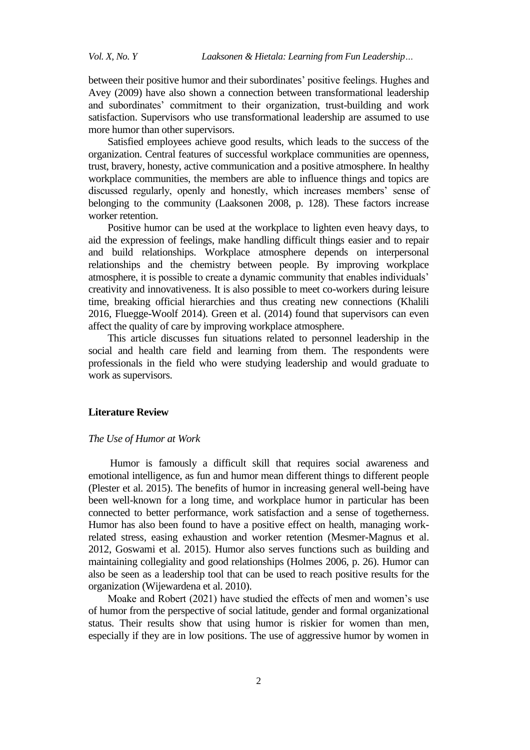between their positive humor and their subordinates' positive feelings. Hughes and Avey (2009) have also shown a connection between transformational leadership and subordinates" commitment to their organization, trust-building and work satisfaction. Supervisors who use transformational leadership are assumed to use more humor than other supervisors.

Satisfied employees achieve good results, which leads to the success of the organization. Central features of successful workplace communities are openness, trust, bravery, honesty, active communication and a positive atmosphere. In healthy workplace communities, the members are able to influence things and topics are discussed regularly, openly and honestly, which increases members' sense of belonging to the community (Laaksonen 2008, p. 128). These factors increase worker retention.

Positive humor can be used at the workplace to lighten even heavy days, to aid the expression of feelings, make handling difficult things easier and to repair and build relationships. Workplace atmosphere depends on interpersonal relationships and the chemistry between people. By improving workplace atmosphere, it is possible to create a dynamic community that enables individuals" creativity and innovativeness. It is also possible to meet co-workers during leisure time, breaking official hierarchies and thus creating new connections (Khalili 2016, Fluegge-Woolf 2014). Green et al. (2014) found that supervisors can even affect the quality of care by improving workplace atmosphere.

This article discusses fun situations related to personnel leadership in the social and health care field and learning from them. The respondents were professionals in the field who were studying leadership and would graduate to work as supervisors.

## **Literature Review**

# *The Use of Humor at Work*

Humor is famously a difficult skill that requires social awareness and emotional intelligence, as fun and humor mean different things to different people (Plester et al. 2015). The benefits of humor in increasing general well-being have been well-known for a long time, and workplace humor in particular has been connected to better performance, work satisfaction and a sense of togetherness. Humor has also been found to have a positive effect on health, managing workrelated stress, easing exhaustion and worker retention (Mesmer-Magnus et al. 2012, Goswami et al. 2015). Humor also serves functions such as building and maintaining collegiality and good relationships (Holmes 2006, p. 26). Humor can also be seen as a leadership tool that can be used to reach positive results for the organization (Wijewardena et al. 2010).

Moake and Robert (2021) have studied the effects of men and women"s use of humor from the perspective of social latitude, gender and formal organizational status. Their results show that using humor is riskier for women than men, especially if they are in low positions. The use of aggressive humor by women in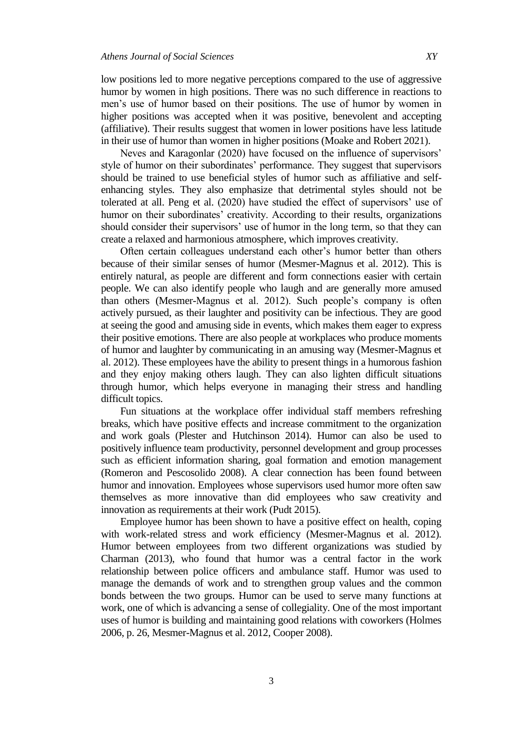low positions led to more negative perceptions compared to the use of aggressive humor by women in high positions. There was no such difference in reactions to men"s use of humor based on their positions. The use of humor by women in higher positions was accepted when it was positive, benevolent and accepting (affiliative). Their results suggest that women in lower positions have less latitude in their use of humor than women in higher positions (Moake and Robert 2021).

Neves and Karagonlar (2020) have focused on the influence of supervisors" style of humor on their subordinates' performance. They suggest that supervisors should be trained to use beneficial styles of humor such as affiliative and selfenhancing styles. They also emphasize that detrimental styles should not be tolerated at all. Peng et al. (2020) have studied the effect of supervisors' use of humor on their subordinates' creativity. According to their results, organizations should consider their supervisors' use of humor in the long term, so that they can create a relaxed and harmonious atmosphere, which improves creativity.

Often certain colleagues understand each other"s humor better than others because of their similar senses of humor (Mesmer-Magnus et al. 2012). This is entirely natural, as people are different and form connections easier with certain people. We can also identify people who laugh and are generally more amused than others (Mesmer-Magnus et al. 2012). Such people"s company is often actively pursued, as their laughter and positivity can be infectious. They are good at seeing the good and amusing side in events, which makes them eager to express their positive emotions. There are also people at workplaces who produce moments of humor and laughter by communicating in an amusing way (Mesmer-Magnus et al. 2012). These employees have the ability to present things in a humorous fashion and they enjoy making others laugh. They can also lighten difficult situations through humor, which helps everyone in managing their stress and handling difficult topics.

Fun situations at the workplace offer individual staff members refreshing breaks, which have positive effects and increase commitment to the organization and work goals (Plester and Hutchinson 2014). Humor can also be used to positively influence team productivity, personnel development and group processes such as efficient information sharing, goal formation and emotion management (Romeron and Pescosolido 2008). A clear connection has been found between humor and innovation. Employees whose supervisors used humor more often saw themselves as more innovative than did employees who saw creativity and innovation as requirements at their work (Pudt 2015).

Employee humor has been shown to have a positive effect on health, coping with work-related stress and work efficiency (Mesmer-Magnus et al. 2012). Humor between employees from two different organizations was studied by Charman (2013), who found that humor was a central factor in the work relationship between police officers and ambulance staff. Humor was used to manage the demands of work and to strengthen group values and the common bonds between the two groups. Humor can be used to serve many functions at work, one of which is advancing a sense of collegiality. One of the most important uses of humor is building and maintaining good relations with coworkers (Holmes 2006, p. 26, Mesmer-Magnus et al. 2012, Cooper 2008).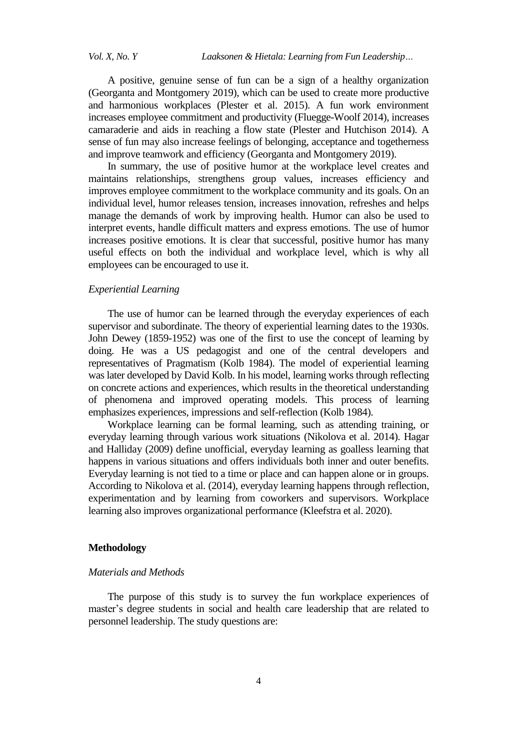A positive, genuine sense of fun can be a sign of a healthy organization (Georganta and Montgomery 2019), which can be used to create more productive and harmonious workplaces (Plester et al. 2015). A fun work environment increases employee commitment and productivity (Fluegge-Woolf 2014), increases camaraderie and aids in reaching a flow state (Plester and Hutchison 2014). A sense of fun may also increase feelings of belonging, acceptance and togetherness and improve teamwork and efficiency (Georganta and Montgomery 2019).

In summary, the use of positive humor at the workplace level creates and maintains relationships, strengthens group values, increases efficiency and improves employee commitment to the workplace community and its goals. On an individual level, humor releases tension, increases innovation, refreshes and helps manage the demands of work by improving health. Humor can also be used to interpret events, handle difficult matters and express emotions. The use of humor increases positive emotions. It is clear that successful, positive humor has many useful effects on both the individual and workplace level, which is why all employees can be encouraged to use it.

## *Experiential Learning*

The use of humor can be learned through the everyday experiences of each supervisor and subordinate. The theory of experiential learning dates to the 1930s. John Dewey (1859-1952) was one of the first to use the concept of learning by doing. He was a US pedagogist and one of the central developers and representatives of Pragmatism (Kolb 1984). The model of experiential learning was later developed by David Kolb. In his model, learning works through reflecting on concrete actions and experiences, which results in the theoretical understanding of phenomena and improved operating models. This process of learning emphasizes experiences, impressions and self-reflection (Kolb 1984).

Workplace learning can be formal learning, such as attending training, or everyday learning through various work situations (Nikolova et al. 2014). Hagar and Halliday (2009) define unofficial, everyday learning as goalless learning that happens in various situations and offers individuals both inner and outer benefits. Everyday learning is not tied to a time or place and can happen alone or in groups. According to Nikolova et al. (2014), everyday learning happens through reflection, experimentation and by learning from coworkers and supervisors. Workplace learning also improves organizational performance (Kleefstra et al. 2020).

## **Methodology**

# *Materials and Methods*

The purpose of this study is to survey the fun workplace experiences of master"s degree students in social and health care leadership that are related to personnel leadership. The study questions are: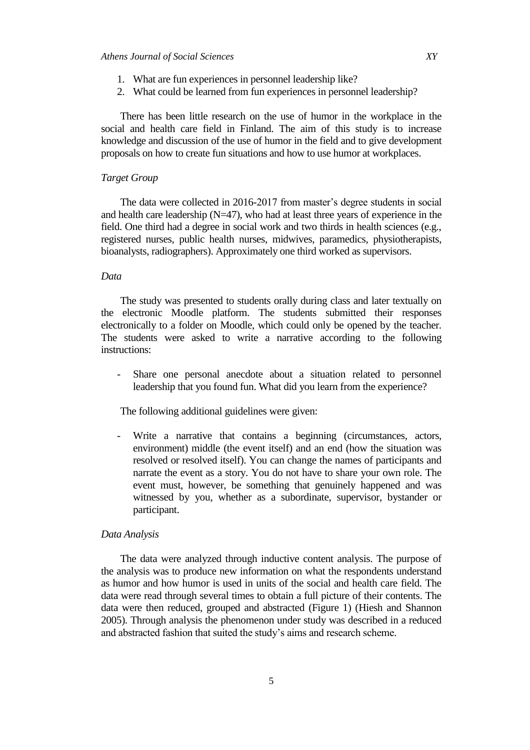- 1. What are fun experiences in personnel leadership like?
- 2. What could be learned from fun experiences in personnel leadership?

There has been little research on the use of humor in the workplace in the social and health care field in Finland. The aim of this study is to increase knowledge and discussion of the use of humor in the field and to give development proposals on how to create fun situations and how to use humor at workplaces.

## *Target Group*

The data were collected in 2016-2017 from master's degree students in social and health care leadership  $(N=47)$ , who had at least three years of experience in the field. One third had a degree in social work and two thirds in health sciences (e.g., registered nurses, public health nurses, midwives, paramedics, physiotherapists, bioanalysts, radiographers). Approximately one third worked as supervisors.

## *Data*

The study was presented to students orally during class and later textually on the electronic Moodle platform. The students submitted their responses electronically to a folder on Moodle, which could only be opened by the teacher. The students were asked to write a narrative according to the following instructions:

Share one personal anecdote about a situation related to personnel leadership that you found fun. What did you learn from the experience?

The following additional guidelines were given:

- Write a narrative that contains a beginning (circumstances, actors, environment) middle (the event itself) and an end (how the situation was resolved or resolved itself). You can change the names of participants and narrate the event as a story. You do not have to share your own role. The event must, however, be something that genuinely happened and was witnessed by you, whether as a subordinate, supervisor, bystander or participant.

## *Data Analysis*

The data were analyzed through inductive content analysis. The purpose of the analysis was to produce new information on what the respondents understand as humor and how humor is used in units of the social and health care field. The data were read through several times to obtain a full picture of their contents. The data were then reduced, grouped and abstracted (Figure 1) (Hiesh and Shannon 2005). Through analysis the phenomenon under study was described in a reduced and abstracted fashion that suited the study"s aims and research scheme.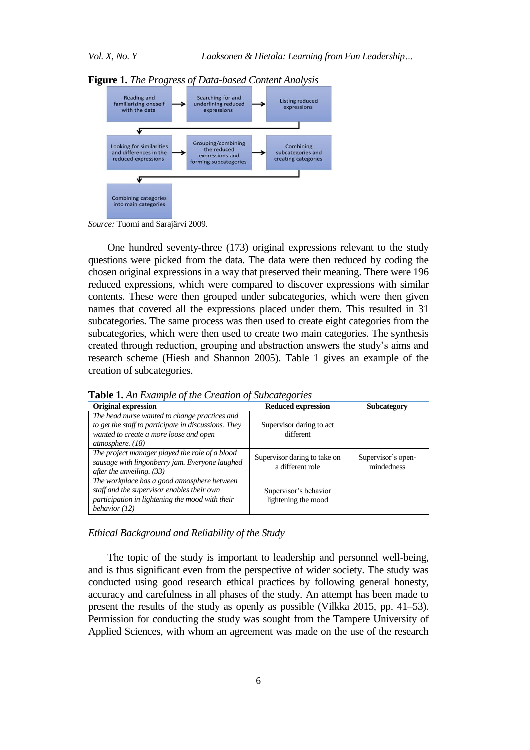

**Figure 1.** *The Progress of Data-based Content Analysis* 

*Source:* Tuomi and Sarajärvi 2009.

One hundred seventy-three (173) original expressions relevant to the study questions were picked from the data. The data were then reduced by coding the chosen original expressions in a way that preserved their meaning. There were 196 reduced expressions, which were compared to discover expressions with similar contents. These were then grouped under subcategories, which were then given names that covered all the expressions placed under them. This resulted in 31 subcategories. The same process was then used to create eight categories from the subcategories, which were then used to create two main categories. The synthesis created through reduction, grouping and abstraction answers the study"s aims and research scheme (Hiesh and Shannon 2005). Table 1 gives an example of the creation of subcategories.

| <b>Original expression</b>                                                                                                                                            | <b>Reduced expression</b>                        | <b>Subcategory</b>               |
|-----------------------------------------------------------------------------------------------------------------------------------------------------------------------|--------------------------------------------------|----------------------------------|
| The head nurse wanted to change practices and<br>to get the staff to participate in discussions. They<br>wanted to create a more loose and open<br>atmosphere. $(18)$ | Supervisor daring to act<br>different            |                                  |
| The project manager played the role of a blood<br>sausage with lingonberry jam. Everyone laughed<br>after the unveiling. (33)                                         | Supervisor daring to take on<br>a different role | Supervisor's open-<br>mindedness |
| The workplace has a good atmosphere between<br>staff and the supervisor enables their own<br>participation in lightening the mood with their<br>behavior $(12)$       | Supervisor's behavior<br>lightening the mood     |                                  |

**Table 1.** *An Example of the Creation of Subcategories*

*Ethical Background and Reliability of the Study*

The topic of the study is important to leadership and personnel well-being, and is thus significant even from the perspective of wider society. The study was conducted using good research ethical practices by following general honesty, accuracy and carefulness in all phases of the study. An attempt has been made to present the results of the study as openly as possible (Vilkka 2015, pp. 41–53). Permission for conducting the study was sought from the Tampere University of Applied Sciences, with whom an agreement was made on the use of the research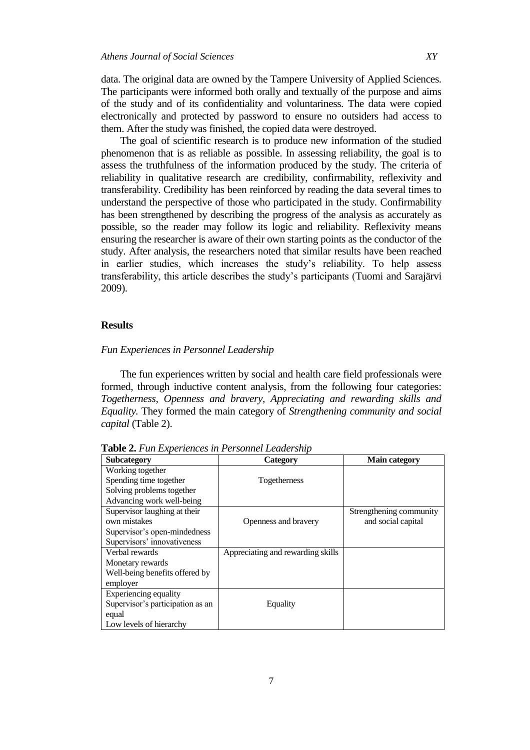data. The original data are owned by the Tampere University of Applied Sciences. The participants were informed both orally and textually of the purpose and aims of the study and of its confidentiality and voluntariness. The data were copied electronically and protected by password to ensure no outsiders had access to them. After the study was finished, the copied data were destroyed.

The goal of scientific research is to produce new information of the studied phenomenon that is as reliable as possible. In assessing reliability, the goal is to assess the truthfulness of the information produced by the study. The criteria of reliability in qualitative research are credibility, confirmability, reflexivity and transferability. Credibility has been reinforced by reading the data several times to understand the perspective of those who participated in the study. Confirmability has been strengthened by describing the progress of the analysis as accurately as possible, so the reader may follow its logic and reliability. Reflexivity means ensuring the researcher is aware of their own starting points as the conductor of the study. After analysis, the researchers noted that similar results have been reached in earlier studies, which increases the study"s reliability. To help assess transferability, this article describes the study"s participants (Tuomi and Sarajärvi 2009).

## **Results**

## *Fun Experiences in Personnel Leadership*

The fun experiences written by social and health care field professionals were formed, through inductive content analysis, from the following four categories: *Togetherness, Openness and bravery, Appreciating and rewarding skills and Equality.* They formed the main category of *Strengthening community and social capital* (Table 2).

| <b>Subcategory</b>               | <b>Category</b>                   | <b>Main category</b>    |
|----------------------------------|-----------------------------------|-------------------------|
| Working together                 |                                   |                         |
| Spending time together           | Togetherness                      |                         |
| Solving problems together        |                                   |                         |
| Advancing work well-being        |                                   |                         |
| Supervisor laughing at their     |                                   | Strengthening community |
| own mistakes                     | Openness and bravery              | and social capital      |
| Supervisor's open-mindedness     |                                   |                         |
| Supervisors' innovativeness      |                                   |                         |
| Verbal rewards                   | Appreciating and rewarding skills |                         |
| Monetary rewards                 |                                   |                         |
| Well-being benefits offered by   |                                   |                         |
| employer                         |                                   |                         |
| Experiencing equality            |                                   |                         |
| Supervisor's participation as an | Equality                          |                         |
| equal                            |                                   |                         |
| Low levels of hierarchy          |                                   |                         |

**Table 2.** *Fun Experiences in Personnel Leadership*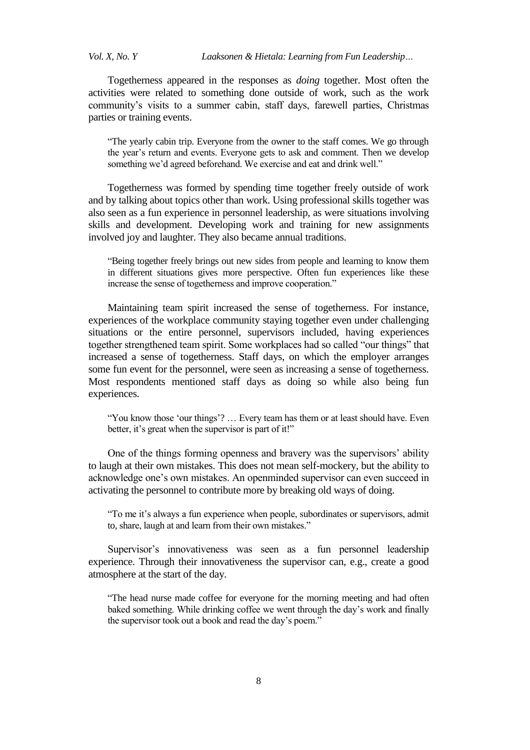*Vol. X, No. Y Laaksonen & Hietala: Learning from Fun Leadership…*

Togetherness appeared in the responses as *doing* together. Most often the activities were related to something done outside of work, such as the work community"s visits to a summer cabin, staff days, farewell parties, Christmas parties or training events.

"The yearly cabin trip. Everyone from the owner to the staff comes. We go through the year"s return and events. Everyone gets to ask and comment. Then we develop something we'd agreed beforehand. We exercise and eat and drink well."

Togetherness was formed by spending time together freely outside of work and by talking about topics other than work. Using professional skills together was also seen as a fun experience in personnel leadership, as were situations involving skills and development. Developing work and training for new assignments involved joy and laughter. They also became annual traditions.

"Being together freely brings out new sides from people and learning to know them in different situations gives more perspective. Often fun experiences like these increase the sense of togetherness and improve cooperation."

Maintaining team spirit increased the sense of togetherness. For instance, experiences of the workplace community staying together even under challenging situations or the entire personnel, supervisors included, having experiences together strengthened team spirit. Some workplaces had so called "our things" that increased a sense of togetherness. Staff days, on which the employer arranges some fun event for the personnel, were seen as increasing a sense of togetherness. Most respondents mentioned staff days as doing so while also being fun experiences.

"You know those 'our things'? ... Every team has them or at least should have. Even better, it's great when the supervisor is part of it!"

One of the things forming openness and bravery was the supervisors' ability to laugh at their own mistakes. This does not mean self-mockery, but the ability to acknowledge one"s own mistakes. An openminded supervisor can even succeed in activating the personnel to contribute more by breaking old ways of doing.

"To me it's always a fun experience when people, subordinates or supervisors, admit to, share, laugh at and learn from their own mistakes."

Supervisor's innovativeness was seen as a fun personnel leadership experience. Through their innovativeness the supervisor can, e.g., create a good atmosphere at the start of the day.

"The head nurse made coffee for everyone for the morning meeting and had often baked something. While drinking coffee we went through the day"s work and finally the supervisor took out a book and read the day"s poem."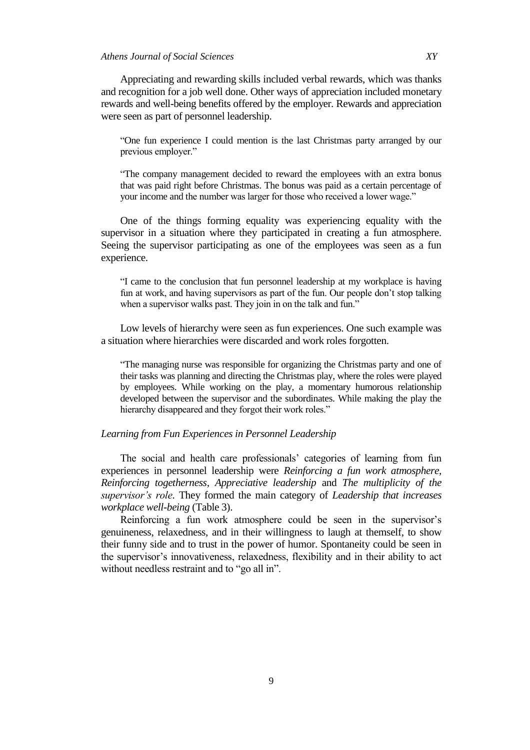Appreciating and rewarding skills included verbal rewards, which was thanks and recognition for a job well done. Other ways of appreciation included monetary rewards and well-being benefits offered by the employer. Rewards and appreciation were seen as part of personnel leadership.

"One fun experience I could mention is the last Christmas party arranged by our previous employer."

"The company management decided to reward the employees with an extra bonus that was paid right before Christmas. The bonus was paid as a certain percentage of your income and the number was larger for those who received a lower wage."

One of the things forming equality was experiencing equality with the supervisor in a situation where they participated in creating a fun atmosphere. Seeing the supervisor participating as one of the employees was seen as a fun experience.

"I came to the conclusion that fun personnel leadership at my workplace is having fun at work, and having supervisors as part of the fun. Our people don"t stop talking when a supervisor walks past. They join in on the talk and fun."

Low levels of hierarchy were seen as fun experiences. One such example was a situation where hierarchies were discarded and work roles forgotten.

"The managing nurse was responsible for organizing the Christmas party and one of their tasks was planning and directing the Christmas play, where the roles were played by employees. While working on the play, a momentary humorous relationship developed between the supervisor and the subordinates. While making the play the hierarchy disappeared and they forgot their work roles."

# *Learning from Fun Experiences in Personnel Leadership*

The social and health care professionals' categories of learning from fun experiences in personnel leadership were *Reinforcing a fun work atmosphere, Reinforcing togetherness, Appreciative leadership* and *The multiplicity of the supervisor's role*. They formed the main category of *Leadership that increases workplace well-being* (Table 3).

Reinforcing a fun work atmosphere could be seen in the supervisor's genuineness, relaxedness, and in their willingness to laugh at themself, to show their funny side and to trust in the power of humor. Spontaneity could be seen in the supervisor"s innovativeness, relaxedness, flexibility and in their ability to act without needless restraint and to "go all in".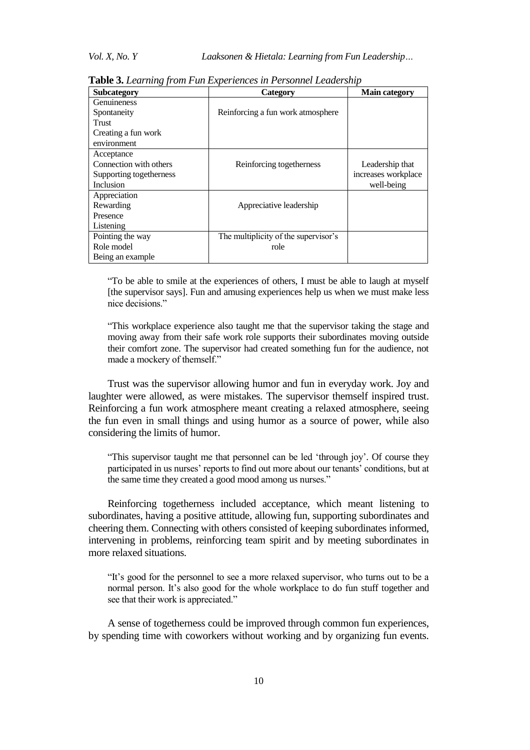| ິ<br><b>Subcategory</b> | <b>Category</b>                      | <b>Main category</b> |
|-------------------------|--------------------------------------|----------------------|
| Genuineness             |                                      |                      |
| Spontaneity             | Reinforcing a fun work atmosphere    |                      |
| <b>Trust</b>            |                                      |                      |
| Creating a fun work     |                                      |                      |
| environment             |                                      |                      |
| Acceptance              |                                      |                      |
| Connection with others  | Reinforcing togetherness             | Leadership that      |
| Supporting togetherness |                                      | increases workplace  |
| Inclusion               |                                      | well-being           |
| Appreciation            |                                      |                      |
| Rewarding               | Appreciative leadership              |                      |
| Presence                |                                      |                      |
| Listening               |                                      |                      |
| Pointing the way        | The multiplicity of the supervisor's |                      |
| Role model              | role                                 |                      |
| Being an example        |                                      |                      |

**Table 3.** *Learning from Fun Experiences in Personnel Leadership*

"To be able to smile at the experiences of others, I must be able to laugh at myself [the supervisor says]. Fun and amusing experiences help us when we must make less nice decisions."

"This workplace experience also taught me that the supervisor taking the stage and moving away from their safe work role supports their subordinates moving outside their comfort zone. The supervisor had created something fun for the audience, not made a mockery of themself."

Trust was the supervisor allowing humor and fun in everyday work. Joy and laughter were allowed, as were mistakes. The supervisor themself inspired trust. Reinforcing a fun work atmosphere meant creating a relaxed atmosphere, seeing the fun even in small things and using humor as a source of power, while also considering the limits of humor.

"This supervisor taught me that personnel can be led "through joy". Of course they participated in us nurses' reports to find out more about our tenants' conditions, but at the same time they created a good mood among us nurses."

Reinforcing togetherness included acceptance, which meant listening to subordinates, having a positive attitude, allowing fun, supporting subordinates and cheering them. Connecting with others consisted of keeping subordinates informed, intervening in problems, reinforcing team spirit and by meeting subordinates in more relaxed situations.

"It's good for the personnel to see a more relaxed supervisor, who turns out to be a normal person. It's also good for the whole workplace to do fun stuff together and see that their work is appreciated."

A sense of togetherness could be improved through common fun experiences, by spending time with coworkers without working and by organizing fun events.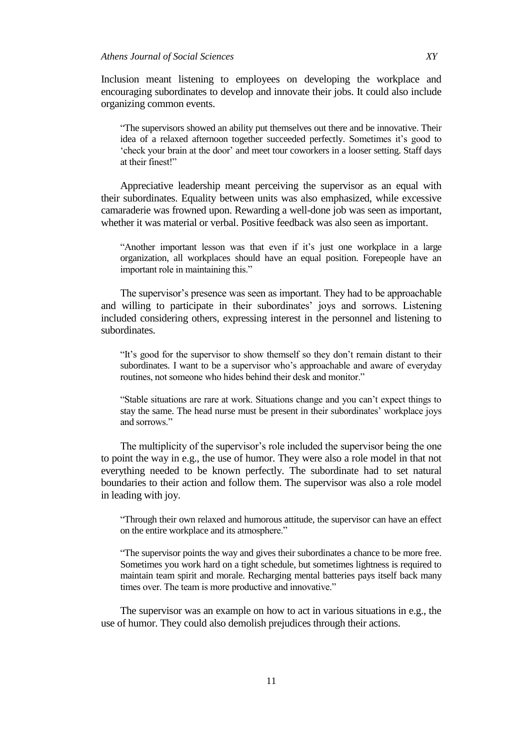Inclusion meant listening to employees on developing the workplace and encouraging subordinates to develop and innovate their jobs. It could also include organizing common events.

"The supervisors showed an ability put themselves out there and be innovative. Their idea of a relaxed afternoon together succeeded perfectly. Sometimes it's good to "check your brain at the door" and meet tour coworkers in a looser setting. Staff days at their finest!"

Appreciative leadership meant perceiving the supervisor as an equal with their subordinates. Equality between units was also emphasized, while excessive camaraderie was frowned upon. Rewarding a well-done job was seen as important, whether it was material or verbal. Positive feedback was also seen as important.

"Another important lesson was that even if it"s just one workplace in a large organization, all workplaces should have an equal position. Forepeople have an important role in maintaining this."

The supervisor's presence was seen as important. They had to be approachable and willing to participate in their subordinates' joys and sorrows. Listening included considering others, expressing interest in the personnel and listening to subordinates.

"It's good for the supervisor to show themself so they don't remain distant to their subordinates. I want to be a supervisor who"s approachable and aware of everyday routines, not someone who hides behind their desk and monitor."

"Stable situations are rare at work. Situations change and you can"t expect things to stay the same. The head nurse must be present in their subordinates' workplace joys and sorrows."

The multiplicity of the supervisor's role included the supervisor being the one to point the way in e.g., the use of humor. They were also a role model in that not everything needed to be known perfectly. The subordinate had to set natural boundaries to their action and follow them. The supervisor was also a role model in leading with joy.

"Through their own relaxed and humorous attitude, the supervisor can have an effect on the entire workplace and its atmosphere."

"The supervisor points the way and gives their subordinates a chance to be more free. Sometimes you work hard on a tight schedule, but sometimes lightness is required to maintain team spirit and morale. Recharging mental batteries pays itself back many times over. The team is more productive and innovative."

The supervisor was an example on how to act in various situations in e.g., the use of humor. They could also demolish prejudices through their actions.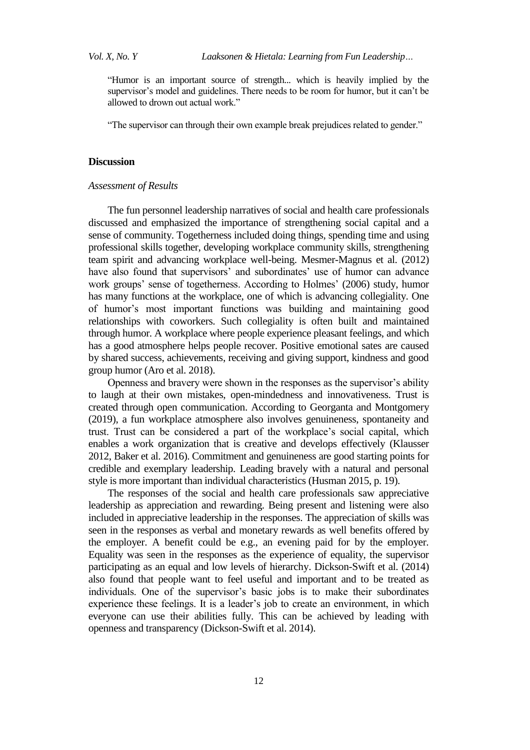"Humor is an important source of strength... which is heavily implied by the supervisor's model and guidelines. There needs to be room for humor, but it can't be allowed to drown out actual work."

"The supervisor can through their own example break prejudices related to gender."

# **Discussion**

## *Assessment of Results*

The fun personnel leadership narratives of social and health care professionals discussed and emphasized the importance of strengthening social capital and a sense of community. Togetherness included doing things, spending time and using professional skills together, developing workplace community skills, strengthening team spirit and advancing workplace well-being. Mesmer-Magnus et al. (2012) have also found that supervisors' and subordinates' use of humor can advance work groups' sense of togetherness. According to Holmes' (2006) study, humor has many functions at the workplace, one of which is advancing collegiality. One of humor"s most important functions was building and maintaining good relationships with coworkers. Such collegiality is often built and maintained through humor. A workplace where people experience pleasant feelings, and which has a good atmosphere helps people recover. Positive emotional sates are caused by shared success, achievements, receiving and giving support, kindness and good group humor (Aro et al. 2018).

Openness and bravery were shown in the responses as the supervisor's ability to laugh at their own mistakes, open-mindedness and innovativeness. Trust is created through open communication. According to Georganta and Montgomery (2019), a fun workplace atmosphere also involves genuineness, spontaneity and trust. Trust can be considered a part of the workplace"s social capital, which enables a work organization that is creative and develops effectively (Klausser 2012, Baker et al. 2016). Commitment and genuineness are good starting points for credible and exemplary leadership. Leading bravely with a natural and personal style is more important than individual characteristics (Husman 2015, p. 19).

The responses of the social and health care professionals saw appreciative leadership as appreciation and rewarding. Being present and listening were also included in appreciative leadership in the responses. The appreciation of skills was seen in the responses as verbal and monetary rewards as well benefits offered by the employer. A benefit could be e.g., an evening paid for by the employer. Equality was seen in the responses as the experience of equality, the supervisor participating as an equal and low levels of hierarchy. Dickson-Swift et al. (2014) also found that people want to feel useful and important and to be treated as individuals. One of the supervisor's basic jobs is to make their subordinates experience these feelings. It is a leader's job to create an environment, in which everyone can use their abilities fully. This can be achieved by leading with openness and transparency (Dickson-Swift et al. 2014).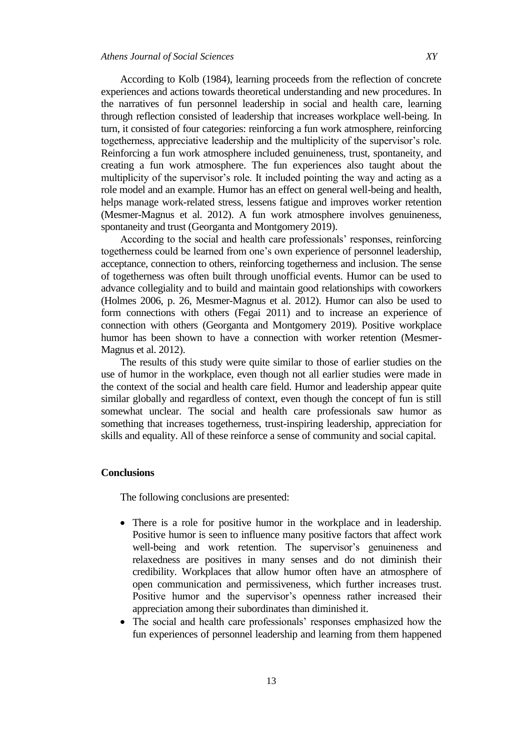According to Kolb (1984), learning proceeds from the reflection of concrete experiences and actions towards theoretical understanding and new procedures. In the narratives of fun personnel leadership in social and health care, learning through reflection consisted of leadership that increases workplace well-being. In turn, it consisted of four categories: reinforcing a fun work atmosphere, reinforcing togetherness, appreciative leadership and the multiplicity of the supervisor"s role. Reinforcing a fun work atmosphere included genuineness, trust, spontaneity, and creating a fun work atmosphere. The fun experiences also taught about the multiplicity of the supervisor's role. It included pointing the way and acting as a role model and an example. Humor has an effect on general well-being and health, helps manage work-related stress, lessens fatigue and improves worker retention (Mesmer-Magnus et al. 2012). A fun work atmosphere involves genuineness, spontaneity and trust (Georganta and Montgomery 2019).

According to the social and health care professionals' responses, reinforcing togetherness could be learned from one's own experience of personnel leadership, acceptance, connection to others, reinforcing togetherness and inclusion. The sense of togetherness was often built through unofficial events. Humor can be used to advance collegiality and to build and maintain good relationships with coworkers (Holmes 2006, p. 26, Mesmer-Magnus et al. 2012). Humor can also be used to form connections with others (Fegai 2011) and to increase an experience of connection with others (Georganta and Montgomery 2019). Positive workplace humor has been shown to have a connection with worker retention (Mesmer-Magnus et al. 2012).

The results of this study were quite similar to those of earlier studies on the use of humor in the workplace, even though not all earlier studies were made in the context of the social and health care field. Humor and leadership appear quite similar globally and regardless of context, even though the concept of fun is still somewhat unclear. The social and health care professionals saw humor as something that increases togetherness, trust-inspiring leadership, appreciation for skills and equality. All of these reinforce a sense of community and social capital.

# **Conclusions**

The following conclusions are presented:

- There is a role for positive humor in the workplace and in leadership. Positive humor is seen to influence many positive factors that affect work well-being and work retention. The supervisor's genuineness and relaxedness are positives in many senses and do not diminish their credibility. Workplaces that allow humor often have an atmosphere of open communication and permissiveness, which further increases trust. Positive humor and the supervisor's openness rather increased their appreciation among their subordinates than diminished it.
- The social and health care professionals' responses emphasized how the fun experiences of personnel leadership and learning from them happened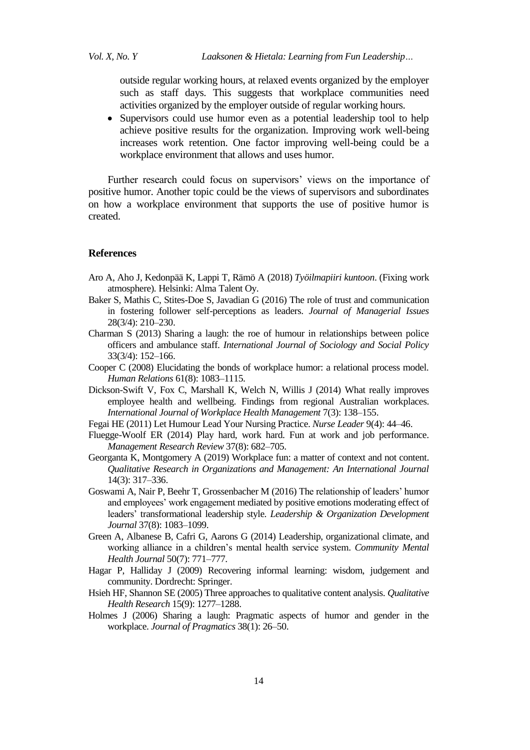outside regular working hours, at relaxed events organized by the employer such as staff days. This suggests that workplace communities need activities organized by the employer outside of regular working hours.

 Supervisors could use humor even as a potential leadership tool to help achieve positive results for the organization. Improving work well-being increases work retention. One factor improving well-being could be a workplace environment that allows and uses humor.

Further research could focus on supervisors' views on the importance of positive humor. Another topic could be the views of supervisors and subordinates on how a workplace environment that supports the use of positive humor is created.

#### **References**

- Aro A, Aho J, Kedonpää K, Lappi T, Rämö A (2018) *Työilmapiiri kuntoon*. (Fixing work atmosphere)*.* Helsinki: Alma Talent Oy.
- Baker S, Mathis C, Stites-Doe S, Javadian G (2016) The role of trust and communication in fostering follower self-perceptions as leaders. *Journal of Managerial Issues* 28(3/4): 210–230.
- Charman S (2013) Sharing a laugh: the roe of humour in relationships between police officers and ambulance staff. *International Journal of Sociology and Social Policy* 33(3/4): 152–166.
- Cooper C (2008) Elucidating the bonds of workplace humor: a relational process model. *Human Relations* 61(8): 1083–1115.
- Dickson-Swift V, Fox C, Marshall K, Welch N, Willis J (2014) What really improves employee health and wellbeing. Findings from regional Australian workplaces. *International Journal of Workplace Health Management* 7(3): 138–155.
- Fegai HE (2011) Let Humour Lead Your Nursing Practice. *Nurse Leader* 9(4): 44–46.
- Fluegge-Woolf ER (2014) Play hard, work hard. Fun at work and job performance. *Management Research Review* 37(8): 682–705.
- Georganta K, Montgomery A (2019) Workplace fun: a matter of context and not content. *Qualitative Research in Organizations and Management: An International Journal* 14(3): 317–336.
- Goswami A, Nair P, Beehr T, Grossenbacher M (2016) The relationship of leaders" humor and employees" work engagement mediated by positive emotions moderating effect of leaders" transformational leadership style. *Leadership & Organization Development Journal* 37(8): 1083–1099.
- Green A, Albanese B, Cafri G, Aarons G (2014) Leadership, organizational climate, and working alliance in a children"s mental health service system. *Community Mental Health Journal* 50(7): 771–777.
- Hagar P, Halliday J (2009) Recovering informal learning: wisdom, judgement and community. Dordrecht: Springer.
- Hsieh HF, Shannon SE (2005) Three approaches to qualitative content analysis. *Qualitative Health Research* 15(9): 1277–1288.
- Holmes J (2006) Sharing a laugh: Pragmatic aspects of humor and gender in the workplace. *Journal of Pragmatics* 38(1): 26–50.